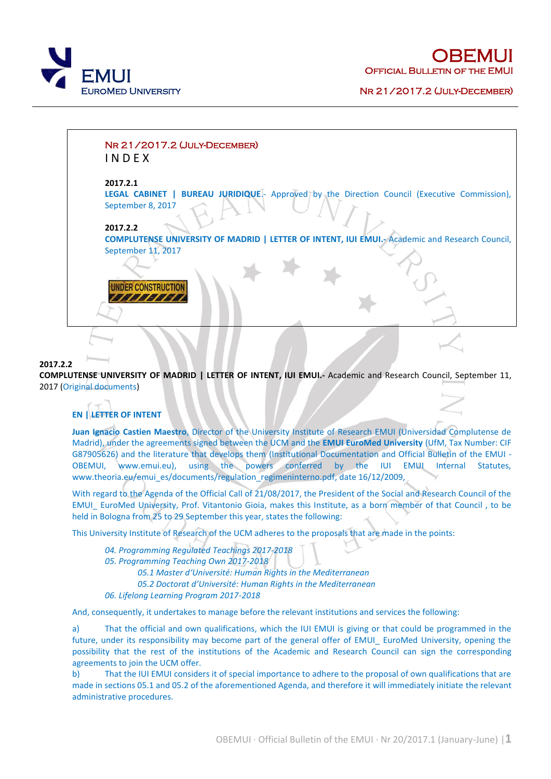

**OBEMUI** OFFICIAL BULLETIN OF THE



### **2017.2.2**

**COMPLUTENSE UNIVERSITY OF MADRID | LETTER OF INTENT, IUI EMUI.-** Academic and Research Council, September 11, 2017 (Original [documents\)](../documents/UCM_letterofintent11sep2017.pdf)

## **EN | LETTER OF INTENT**

**Juan Ignacio Castien Maestro**, Director of the University Institute of Research EMUI (Universidad Complutense de Madrid), under the agreements signed between the UCM and the **EMUI EuroMed University** (UfM, Tax Number: CIF G87905626) and the literature that develops them (Institutional Documentation and Official Bulletin of the EMUI - OBEMUI, [www.emui.eu\)](http://www.emui.eu/), using the powers conferred by the IUI EMUI Internal Statutes, [www.theoria.eu/emui\\_es/documents/regulation\\_regimeninterno.pdf,](http://www.theoria.eu/emui_es/documents/regulation_regimeninterno.pdf) date 16/12/2009,

With regard to the Agenda of the Official Call of 21/08/2017, the President of the Social and Research Council of the EMUI\_ EuroMed University, Prof. Vitantonio Gioia, makes this Institute, as a born member of that Council , to be held in Bologna from 25 to 29 September this year, states the following:

This University Institute of Research of the UCM adheres to the proposals that are made in the points:

*04. Programming Regulated Teachings 2017-2018 05. Programming Teaching Own 2017-2018 05.1 [Master d'Université: Human Rights in the Mediterranean](http://www.emui.eu/master_human_rights.html) 05.2 Doctorat [d'Université: Human Rights in the Mediterranean](http://www.emui.eu/phd_human_rights.html) 06. Lifelong Learning Program 2017-2018*

And, consequently, it undertakes to manage before the relevant institutions and services the following:

a) That the official and own qualifications, which the IUI EMUI is giving or that could be programmed in the future, under its responsibility may become part of the general offer of EMUI EuroMed University, opening the possibility that the rest of the institutions of the Academic and Research Council can sign the corresponding agreements to join the UCM offer.

b) That the IUI EMUI considers it of special importance to adhere to the proposal of own qualifications that are made in sections 05.1 and 05.2 of the aforementioned Agenda, and therefore it will immediately initiate the relevant administrative procedures.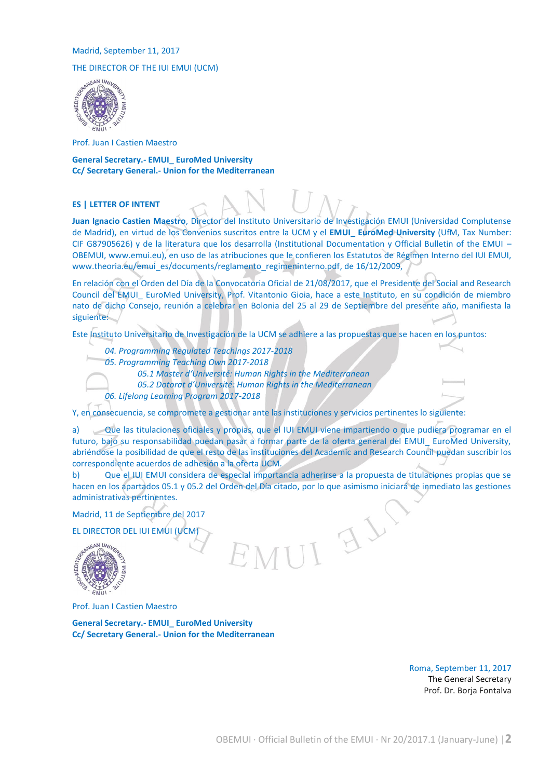### Madrid, September 11, 2017

# THE DIRECTOR OF THE IUI EMUI (UCM)<br>
SEAN UNIVES



Prof. Juan I Castien Maestro

**General Secretary.- EMUI\_ EuroMed University Cc/ Secretary General.- Union for the Mediterranean**

#### **ES | LETTER OF INTENT**

**Juan Ignacio Castien Maestro**, Director del Instituto Universitario de Investigación EMUI (Universidad Complutense de Madrid), en virtud de los Convenios suscritos entre la UCM y el **EMUI\_ EuroMed University** (UfM, Tax Number: CIF G87905626) y de la literatura que los desarrolla (Institutional Documentation y Official Bulletin of the EMUI – OBEMUI, [www.emui.eu\)](http://www.emui.eu/), en uso de las atribuciones que le confieren los Estatutos de Régimen Interno del IUI EMUI, [www.theoria.eu/emui\\_es/documents/reglamento\\_regimeninterno.pdf,](http://www.theoria.eu/emui_es/documents/reglamento_regimeninterno.pdf) de 16/12/2009,

En relación con el Orden del Día de la Convocatoria Oficial de 21/08/2017, que el Presidente del Social and Research Council del EMUI\_ EuroMed University, Prof. Vitantonio Gioia, hace a este Instituto, en su condición de miembro nato de dicho Consejo, reunión a celebrar en Bolonia del 25 al 29 de Septiembre del presente año, manifiesta la siguiente:

Este Instituto Universitario de Investigación de la UCM se adhiere a las propuestas que se hacen en los puntos:

*04. Programming Regulated Teachings 2017-2018*

*05. Programming Teaching Own 2017-2018*

*05.1 [Master d'Université: Human Rights in the](http://www.emui.eu/master_human_rights.html) Mediterranean*

*05.2 [Dotorat d'Université: Human Rights in t](http://www.emui.eu/phd_human_rights.html)he Mediterranean*

*06. Lifelong Learning Program 2017-2018*

Y, en consecuencia, se compromete a gestionar ante las instituciones y servicios pertinentes lo siguiente:

a) Que las titulaciones oficiales y propias, que el IUI EMUI viene impartiendo o que pudiera programar en el futuro, bajo su responsabilidad puedan pasar a formar parte de la oferta general del EMUI\_ EuroMed University, abriéndose la posibilidad de que el resto de las instituciones del Academic and Research Council puedan suscribir los correspondiente acuerdos de adhesión a la oferta UCM.

b) Que el IUI EMUI considera de especial importancia adherirse a la propuesta de titulaciones propias que se hacen en los apartados 05.1 y 05.2 del Orden del Día citado, por lo que asimismo iniciará de inmediato las gestiones administrativas pertinentes.

Madrid, 11 de Septiembre del 2017

EL DIRECTOR DEL IUI EMUI (UCM)



Prof. Juan I Castien Maestro

**General Secretary.- EMUI\_ EuroMed University Cc/ Secretary General.- Union for the Mediterranean**

> Roma, September 11, 2017 The General Secretary Prof. Dr. Borja Fontalva

 $\mathcal{F}_{\mathcal{F}}$